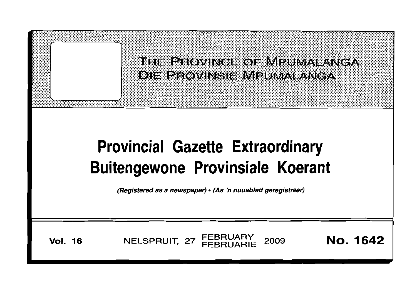